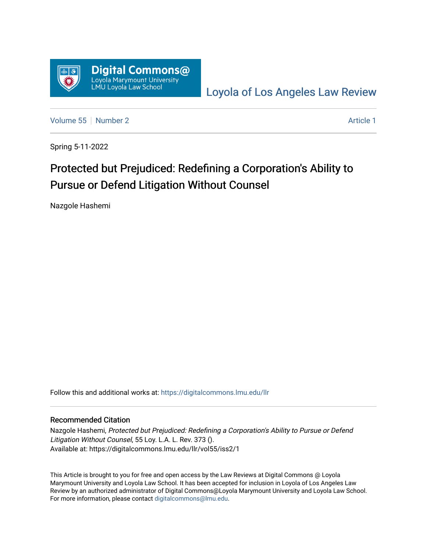

[Loyola of Los Angeles Law Review](https://digitalcommons.lmu.edu/llr) 

[Volume 55](https://digitalcommons.lmu.edu/llr/vol55) [Number 2](https://digitalcommons.lmu.edu/llr/vol55/iss2) Article 1

Spring 5-11-2022

# Protected but Prejudiced: Redefining a Corporation's Ability to Pursue or Defend Litigation Without Counsel

Nazgole Hashemi

Follow this and additional works at: [https://digitalcommons.lmu.edu/llr](https://digitalcommons.lmu.edu/llr?utm_source=digitalcommons.lmu.edu%2Fllr%2Fvol55%2Fiss2%2F1&utm_medium=PDF&utm_campaign=PDFCoverPages) 

#### Recommended Citation

Nazgole Hashemi, Protected but Prejudiced: Redefining a Corporation's Ability to Pursue or Defend Litigation Without Counsel, 55 Loy. L.A. L. Rev. 373 (). Available at: https://digitalcommons.lmu.edu/llr/vol55/iss2/1

This Article is brought to you for free and open access by the Law Reviews at Digital Commons @ Loyola Marymount University and Loyola Law School. It has been accepted for inclusion in Loyola of Los Angeles Law Review by an authorized administrator of Digital Commons@Loyola Marymount University and Loyola Law School. For more information, please contact [digitalcommons@lmu.edu.](mailto:digitalcommons@lmu.edu)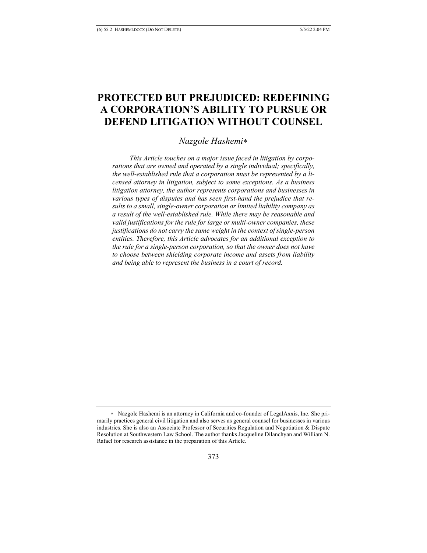## **PROTECTED BUT PREJUDICED: REDEFINING A CORPORATION'S ABILITY TO PURSUE OR DEFEND LITIGATION WITHOUT COUNSEL**

#### *Nazgole Hashemi*\*

 *This Article touches on a major issue faced in litigation by corporations that are owned and operated by a single individual; specifically, the well-established rule that a corporation must be represented by a licensed attorney in litigation, subject to some exceptions. As a business litigation attorney, the author represents corporations and businesses in various types of disputes and has seen first-hand the prejudice that results to a small, single-owner corporation or limited liability company as a result of the well-established rule. While there may be reasonable and valid justifications for the rule for large or multi-owner companies, these justifications do not carry the same weight in the context of single-person entities. Therefore, this Article advocates for an additional exception to the rule for a single-person corporation, so that the owner does not have to choose between shielding corporate income and assets from liability and being able to represent the business in a court of record.* 

<sup>\*</sup> Nazgole Hashemi is an attorney in California and co-founder of LegalAxxis, Inc. She primarily practices general civil litigation and also serves as general counsel for businesses in various industries. She is also an Associate Professor of Securities Regulation and Negotiation & Dispute Resolution at Southwestern Law School. The author thanks Jacqueline Dilanchyan and William N. Rafael for research assistance in the preparation of this Article.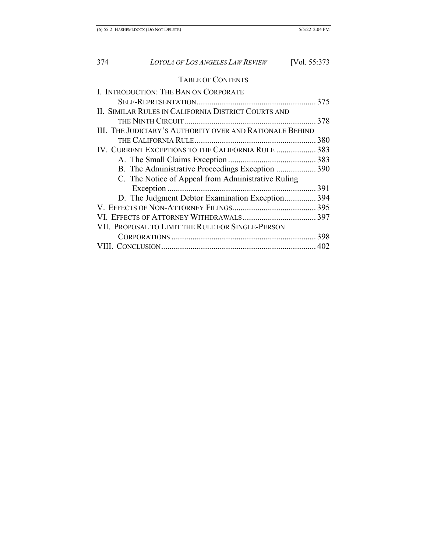### TABLE OF CONTENTS

| I. INTRODUCTION: THE BAN ON CORPORATE                    |  |
|----------------------------------------------------------|--|
|                                                          |  |
| II. SIMILAR RULES IN CALIFORNIA DISTRICT COURTS AND      |  |
|                                                          |  |
| III. THE JUDICIARY'S AUTHORITY OVER AND RATIONALE BEHIND |  |
|                                                          |  |
| IV. CURRENT EXCEPTIONS TO THE CALIFORNIA RULE  383       |  |
|                                                          |  |
| B. The Administrative Proceedings Exception 390          |  |
| C. The Notice of Appeal from Administrative Ruling       |  |
|                                                          |  |
| D. The Judgment Debtor Examination Exception 394         |  |
|                                                          |  |
|                                                          |  |
| VII. PROPOSAL TO LIMIT THE RULE FOR SINGLE-PERSON        |  |
|                                                          |  |
|                                                          |  |
|                                                          |  |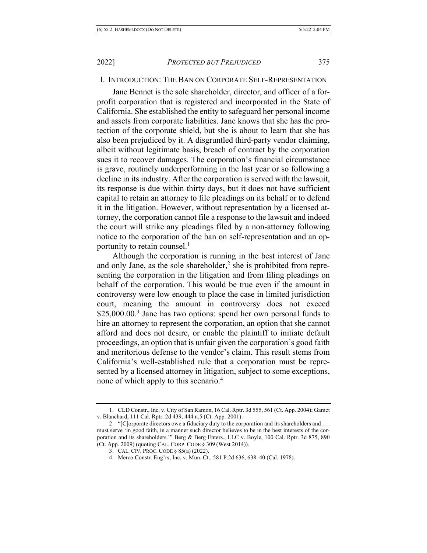#### I. INTRODUCTION: THE BAN ON CORPORATE SELF-REPRESENTATION

Jane Bennet is the sole shareholder, director, and officer of a forprofit corporation that is registered and incorporated in the State of California. She established the entity to safeguard her personal income and assets from corporate liabilities. Jane knows that she has the protection of the corporate shield, but she is about to learn that she has also been prejudiced by it. A disgruntled third-party vendor claiming, albeit without legitimate basis, breach of contract by the corporation sues it to recover damages. The corporation's financial circumstance is grave, routinely underperforming in the last year or so following a decline in its industry. After the corporation is served with the lawsuit, its response is due within thirty days, but it does not have sufficient capital to retain an attorney to file pleadings on its behalf or to defend it in the litigation. However, without representation by a licensed attorney, the corporation cannot file a response to the lawsuit and indeed the court will strike any pleadings filed by a non-attorney following notice to the corporation of the ban on self-representation and an opportunity to retain counsel.<sup>1</sup>

Although the corporation is running in the best interest of Jane and only Jane, as the sole shareholder,<sup>2</sup> she is prohibited from representing the corporation in the litigation and from filing pleadings on behalf of the corporation. This would be true even if the amount in controversy were low enough to place the case in limited jurisdiction court, meaning the amount in controversy does not exceed \$25,000.00.<sup>3</sup> Jane has two options: spend her own personal funds to hire an attorney to represent the corporation, an option that she cannot afford and does not desire, or enable the plaintiff to initiate default proceedings, an option that is unfair given the corporation's good faith and meritorious defense to the vendor's claim. This result stems from California's well-established rule that a corporation must be represented by a licensed attorney in litigation, subject to some exceptions, none of which apply to this scenario.4

<sup>1.</sup> CLD Constr., Inc. v. City of San Ramon, 16 Cal. Rptr. 3d 555, 561 (Ct. App. 2004); Gamet v. Blanchard, 111 Cal. Rptr. 2d 439, 444 n.5 (Ct. App. 2001).

<sup>2.</sup> "[C]orporate directors owe a fiduciary duty to the corporation and its shareholders and . . . must serve 'in good faith, in a manner such director believes to be in the best interests of the corporation and its shareholders.'" Berg & Berg Enters., LLC v. Boyle, 100 Cal. Rptr. 3d 875, 890 (Ct. App. 2009) (quoting CAL. CORP. CODE § 309 (West 2014)).

<sup>3.</sup> CAL. CIV. PROC. CODE § 85(a) (2022).

<sup>4.</sup> Merco Constr. Eng'rs, Inc. v. Mun. Ct., 581 P.2d 636, 638–40 (Cal. 1978).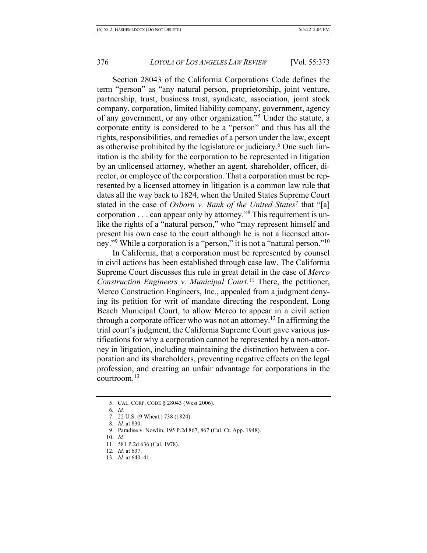Section 28043 of the California Corporations Code defines the term "person" as "any natural person, proprietorship, joint venture, partnership, trust, business trust, syndicate, association, joint stock company, corporation, limited liability company, government, agency of any government, or any other organization."5 Under the statute, a corporate entity is considered to be a "person" and thus has all the rights, responsibilities, and remedies of a person under the law, except as otherwise prohibited by the legislature or judiciary.<sup>6</sup> One such limitation is the ability for the corporation to be represented in litigation by an unlicensed attorney, whether an agent, shareholder, officer, director, or employee of the corporation. That a corporation must be represented by a licensed attorney in litigation is a common law rule that dates all the way back to 1824, when the United States Supreme Court stated in the case of *Osborn v. Bank of the United States*<sup>7</sup> that "[a] corporation . . . can appear only by attorney."8 This requirement is unlike the rights of a "natural person," who "may represent himself and present his own case to the court although he is not a licensed attorney."<sup>9</sup> While a corporation is a "person," it is not a "natural person."<sup>10</sup>

In California, that a corporation must be represented by counsel in civil actions has been established through case law. The California Supreme Court discusses this rule in great detail in the case of *Merco Construction Engineers v. Municipal Court*. <sup>11</sup> There, the petitioner, Merco Construction Engineers, Inc., appealed from a judgment denying its petition for writ of mandate directing the respondent, Long Beach Municipal Court, to allow Merco to appear in a civil action through a corporate officer who was not an attorney.<sup>12</sup> In affirming the trial court's judgment, the California Supreme Court gave various justifications for why a corporation cannot be represented by a non-attorney in litigation, including maintaining the distinction between a corporation and its shareholders, preventing negative effects on the legal profession, and creating an unfair advantage for corporations in the  $control<sup>13</sup>$ 

<sup>5.</sup> CAL. CORP. CODE § 28043 (West 2006).

<sup>6</sup>*. Id.*

<sup>7.</sup> 22 U.S. (9 Wheat.) 738 (1824).

<sup>8</sup>*. Id.* at 830.

<sup>9.</sup> Paradise v. Nowlin, 195 P.2d 867, 867 (Cal. Ct. App. 1948).

<sup>10</sup>*. Id.*

<sup>11.</sup> 581 P.2d 636 (Cal. 1978).

<sup>12</sup>*. Id.* at 637.

<sup>13</sup>*. Id.* at 640–41.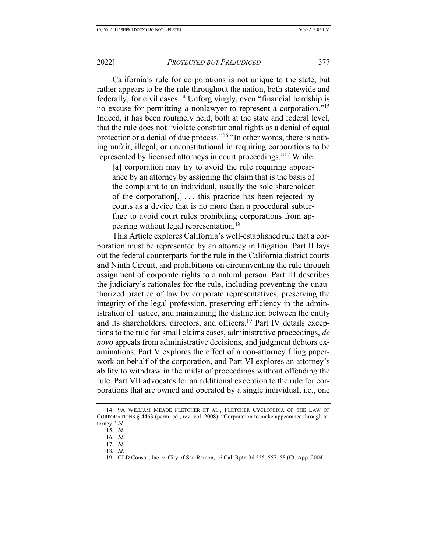California's rule for corporations is not unique to the state, but rather appears to be the rule throughout the nation, both statewide and federally, for civil cases.14 Unforgivingly, even "financial hardship is no excuse for permitting a nonlawyer to represent a corporation."15 Indeed, it has been routinely held, both at the state and federal level, that the rule does not "violate constitutional rights as a denial of equal protection or a denial of due process."16 "In other words, there is nothing unfair, illegal, or unconstitutional in requiring corporations to be represented by licensed attorneys in court proceedings."17 While

[a] corporation may try to avoid the rule requiring appearance by an attorney by assigning the claim that is the basis of the complaint to an individual, usually the sole shareholder of the corporation[,] . . . this practice has been rejected by courts as a device that is no more than a procedural subterfuge to avoid court rules prohibiting corporations from appearing without legal representation.18

This Article explores California's well-established rule that a corporation must be represented by an attorney in litigation. Part II lays out the federal counterparts for the rule in the California district courts and Ninth Circuit, and prohibitions on circumventing the rule through assignment of corporate rights to a natural person. Part III describes the judiciary's rationales for the rule, including preventing the unauthorized practice of law by corporate representatives, preserving the integrity of the legal profession, preserving efficiency in the administration of justice, and maintaining the distinction between the entity and its shareholders, directors, and officers.<sup>19</sup> Part IV details exceptions to the rule for small claims cases, administrative proceedings, *de novo* appeals from administrative decisions, and judgment debtors examinations. Part V explores the effect of a non-attorney filing paperwork on behalf of the corporation, and Part VI explores an attorney's ability to withdraw in the midst of proceedings without offending the rule. Part VII advocates for an additional exception to the rule for corporations that are owned and operated by a single individual, i.e., one

<sup>14.</sup> 9A WILLIAM MEADE FLETCHER ET AL., FLETCHER CYCLOPEDIA OF THE LAW OF CORPORATIONS § 4463 (perm. ed., rev. vol. 2008). "Corporation to make appearance through attorney." *Id.*

<sup>15</sup>*. Id.*

<sup>16</sup>*. Id.*

<sup>17</sup>*. Id.*

<sup>18</sup>*. Id.*

<sup>19.</sup> CLD Constr., Inc. v. City of San Ramon, 16 Cal. Rptr. 3d 555, 557–58 (Ct. App. 2004).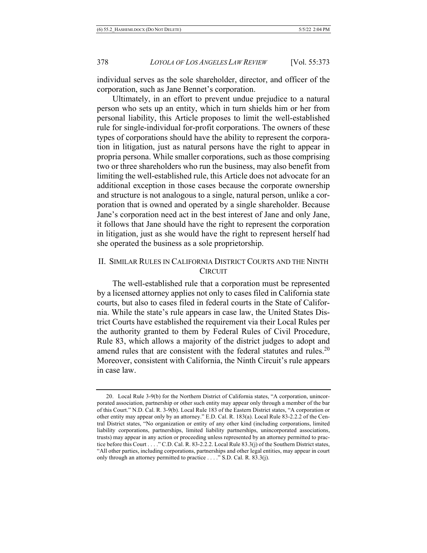individual serves as the sole shareholder, director, and officer of the corporation, such as Jane Bennet's corporation.

Ultimately, in an effort to prevent undue prejudice to a natural person who sets up an entity, which in turn shields him or her from personal liability, this Article proposes to limit the well-established rule for single-individual for-profit corporations. The owners of these types of corporations should have the ability to represent the corporation in litigation, just as natural persons have the right to appear in propria persona. While smaller corporations, such as those comprising two or three shareholders who run the business, may also benefit from limiting the well-established rule, this Article does not advocate for an additional exception in those cases because the corporate ownership and structure is not analogous to a single, natural person, unlike a corporation that is owned and operated by a single shareholder. Because Jane's corporation need act in the best interest of Jane and only Jane, it follows that Jane should have the right to represent the corporation in litigation, just as she would have the right to represent herself had she operated the business as a sole proprietorship.

#### II. SIMILAR RULES IN CALIFORNIA DISTRICT COURTS AND THE NINTH **CIRCUIT**

The well-established rule that a corporation must be represented by a licensed attorney applies not only to cases filed in California state courts, but also to cases filed in federal courts in the State of California. While the state's rule appears in case law, the United States District Courts have established the requirement via their Local Rules per the authority granted to them by Federal Rules of Civil Procedure, Rule 83, which allows a majority of the district judges to adopt and amend rules that are consistent with the federal statutes and rules.<sup>20</sup> Moreover, consistent with California, the Ninth Circuit's rule appears in case law.

<sup>20.</sup> Local Rule 3-9(b) for the Northern District of California states, "A corporation, unincorporated association, partnership or other such entity may appear only through a member of the bar of this Court." N.D. Cal. R. 3-9(b). Local Rule 183 of the Eastern District states, "A corporation or other entity may appear only by an attorney." E.D. Cal. R. 183(a). Local Rule 83-2.2.2 of the Central District states, "No organization or entity of any other kind (including corporations, limited liability corporations, partnerships, limited liability partnerships, unincorporated associations, trusts) may appear in any action or proceeding unless represented by an attorney permitted to practice before this Court . . . ." C.D. Cal. R. 83-2.2.2. Local Rule 83.3(j) of the Southern District states, "All other parties, including corporations, partnerships and other legal entities, may appear in court only through an attorney permitted to practice . . . ." S.D. Cal. R. 83.3(j).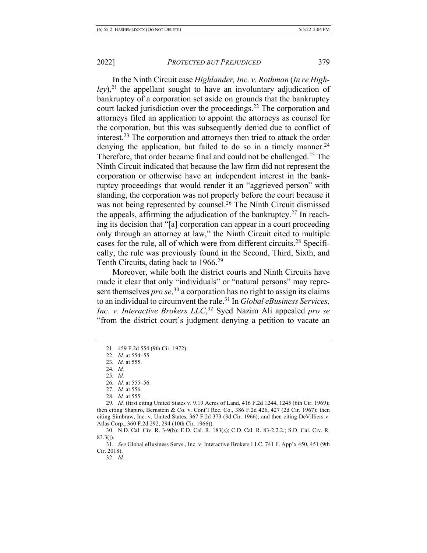In the Ninth Circuit case *Highlander, Inc. v. Rothman* (*In re Highley*), <sup>21</sup> the appellant sought to have an involuntary adjudication of bankruptcy of a corporation set aside on grounds that the bankruptcy court lacked jurisdiction over the proceedings.<sup>22</sup> The corporation and attorneys filed an application to appoint the attorneys as counsel for the corporation, but this was subsequently denied due to conflict of interest.23 The corporation and attorneys then tried to attack the order denying the application, but failed to do so in a timely manner.<sup>24</sup> Therefore, that order became final and could not be challenged.25 The Ninth Circuit indicated that because the law firm did not represent the corporation or otherwise have an independent interest in the bankruptcy proceedings that would render it an "aggrieved person" with standing, the corporation was not properly before the court because it was not being represented by counsel.<sup>26</sup> The Ninth Circuit dismissed the appeals, affirming the adjudication of the bankruptcy.<sup>27</sup> In reaching its decision that "[a] corporation can appear in a court proceeding only through an attorney at law," the Ninth Circuit cited to multiple cases for the rule, all of which were from different circuits.28 Specifically, the rule was previously found in the Second, Third, Sixth, and Tenth Circuits, dating back to 1966.<sup>29</sup>

Moreover, while both the district courts and Ninth Circuits have made it clear that only "individuals" or "natural persons" may represent themselves *pro se*, <sup>30</sup> a corporation has no right to assign its claims to an individual to circumvent the rule.31 In *Global eBusiness Services, Inc. v. Interactive Brokers LLC*, <sup>32</sup> Syed Nazim Ali appealed *pro se* "from the district court's judgment denying a petition to vacate an

<sup>21.</sup> 459 F.2d 554 (9th Cir. 1972).

<sup>22</sup>*. Id.* at 554–55.

<sup>23</sup>*. Id.* at 555.

<sup>24</sup>*. Id.*

<sup>25</sup>*. Id.*

<sup>26</sup>*. Id.* at 555–56.

<sup>27</sup>*. Id.* at 556.

<sup>28</sup>*. Id.* at 555.

<sup>29</sup>*. Id.* (first citing United States v. 9.19 Acres of Land, 416 F.2d 1244, 1245 (6th Cir. 1969); then citing Shapiro, Bernstein & Co. v. Cont'l Rec. Co., 386 F.2d 426, 427 (2d Cir. 1967); then citing Simbraw, Inc. v. United States, 367 F.2d 373 (3d Cir. 1966); and then citing DeVilliers v. Atlas Corp., 360 F.2d 292, 294 (10th Cir. 1966)).

<sup>30.</sup> N.D. Cal. Civ. R. 3-9(b); E.D. Cal. R. 183(s); C.D. Cal. R. 83-2.2.2.; S.D. Cal. Civ. R.  $83.3(i)$ .

<sup>31</sup>*. See* Global eBusiness Servs., Inc. v. Interactive Brokers LLC, 741 F. App'x 450, 451 (9th Cir. 2018).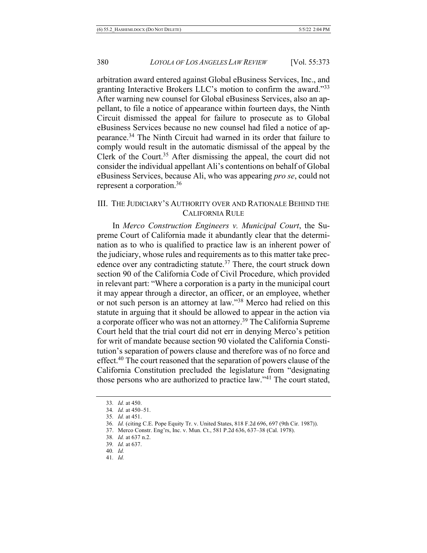arbitration award entered against Global eBusiness Services, Inc., and granting Interactive Brokers LLC's motion to confirm the award."33 After warning new counsel for Global eBusiness Services, also an appellant, to file a notice of appearance within fourteen days, the Ninth Circuit dismissed the appeal for failure to prosecute as to Global eBusiness Services because no new counsel had filed a notice of appearance.34 The Ninth Circuit had warned in its order that failure to comply would result in the automatic dismissal of the appeal by the Clerk of the Court.<sup>35</sup> After dismissing the appeal, the court did not consider the individual appellant Ali's contentions on behalf of Global eBusiness Services, because Ali, who was appearing *pro se*, could not represent a corporation.36

#### III. THE JUDICIARY'S AUTHORITY OVER AND RATIONALE BEHIND THE CALIFORNIA RULE

In *Merco Construction Engineers v. Municipal Court*, the Supreme Court of California made it abundantly clear that the determination as to who is qualified to practice law is an inherent power of the judiciary, whose rules and requirements as to this matter take precedence over any contradicting statute.<sup>37</sup> There, the court struck down section 90 of the California Code of Civil Procedure, which provided in relevant part: "Where a corporation is a party in the municipal court it may appear through a director, an officer, or an employee, whether or not such person is an attorney at law."38 Merco had relied on this statute in arguing that it should be allowed to appear in the action via a corporate officer who was not an attorney.<sup>39</sup> The California Supreme Court held that the trial court did not err in denying Merco's petition for writ of mandate because section 90 violated the California Constitution's separation of powers clause and therefore was of no force and effect.<sup>40</sup> The court reasoned that the separation of powers clause of the California Constitution precluded the legislature from "designating those persons who are authorized to practice law."41 The court stated,

- 40*. Id.*
- 41*. Id.*

<sup>33</sup>*. Id.* at 450.

<sup>34</sup>*. Id.* at 450–51.

<sup>35</sup>*. Id.* at 451.

<sup>36</sup>*. Id.* (citing C.E. Pope Equity Tr. v. United States, 818 F.2d 696, 697 (9th Cir. 1987)).

<sup>37.</sup> Merco Constr. Eng'rs, Inc. v. Mun. Ct., 581 P.2d 636, 637–38 (Cal. 1978).

<sup>38</sup>*. Id.* at 637 n.2.

<sup>39</sup>*. Id.* at 637.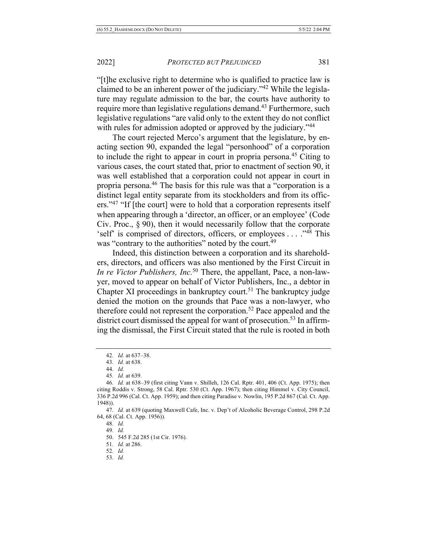"[t]he exclusive right to determine who is qualified to practice law is claimed to be an inherent power of the judiciary."42 While the legislature may regulate admission to the bar, the courts have authority to require more than legislative regulations demand.<sup>43</sup> Furthermore, such legislative regulations "are valid only to the extent they do not conflict with rules for admission adopted or approved by the judiciary."<sup>44</sup>

The court rejected Merco's argument that the legislature, by enacting section 90, expanded the legal "personhood" of a corporation to include the right to appear in court in propria persona.45 Citing to various cases, the court stated that, prior to enactment of section 90, it was well established that a corporation could not appear in court in propria persona.46 The basis for this rule was that a "corporation is a distinct legal entity separate from its stockholders and from its officers."<sup>47</sup> "If [the court] were to hold that a corporation represents itself when appearing through a 'director, an officer, or an employee' (Code Civ. Proc., § 90), then it would necessarily follow that the corporate 'self' is comprised of directors, officers, or employees . . . ."48 This was "contrary to the authorities" noted by the court.<sup>49</sup>

Indeed, this distinction between a corporation and its shareholders, directors, and officers was also mentioned by the First Circuit in *In re Victor Publishers, Inc.*<sup>50</sup> There, the appellant, Pace, a non-lawyer, moved to appear on behalf of Victor Publishers, Inc., a debtor in Chapter XI proceedings in bankruptcy court.<sup>51</sup> The bankruptcy judge denied the motion on the grounds that Pace was a non-lawyer, who therefore could not represent the corporation.<sup>52</sup> Pace appealed and the district court dismissed the appeal for want of prosecution.<sup>53</sup> In affirming the dismissal, the First Circuit stated that the rule is rooted in both

47*. Id.* at 639 (quoting Maxwell Cafe, Inc. v. Dep't of Alcoholic Beverage Control, 298 P.2d 64, 68 (Cal. Ct. App. 1956)).

- 49*. Id.*
- 50. 545 F.2d 285 (1st Cir. 1976).
- 51*. Id.* at 286.
- 52*. Id.*
- 53*. Id.*

<sup>42</sup>*. Id.* at 637–38.

<sup>43</sup>*. Id.* at 638.

<sup>44</sup>*. Id.*

<sup>45</sup>*. Id.* at 639.

<sup>46</sup>*. Id.* at 638–39 (first citing Vann v. Shilleh, 126 Cal. Rptr. 401, 406 (Ct. App. 1975); then citing Roddis v. Strong, 58 Cal. Rptr. 530 (Ct. App. 1967); then citing Himmel v. City Council, 336 P.2d 996 (Cal. Ct. App. 1959); and then citing Paradise v. Nowlin, 195 P.2d 867 (Cal. Ct. App. 1948)).

<sup>48</sup>*. Id.*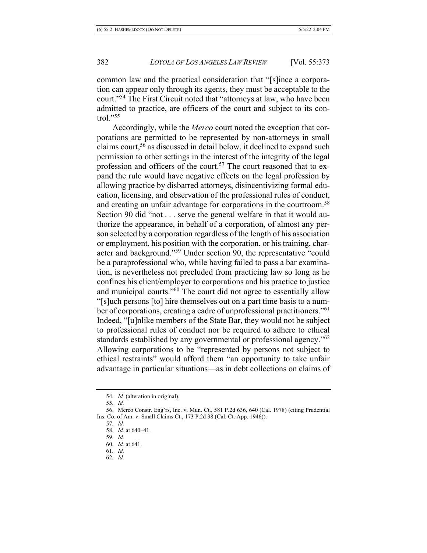common law and the practical consideration that "[s]ince a corporation can appear only through its agents, they must be acceptable to the court."54 The First Circuit noted that "attorneys at law, who have been admitted to practice, are officers of the court and subject to its control."55

Accordingly, while the *Merco* court noted the exception that corporations are permitted to be represented by non-attorneys in small claims court,<sup>56</sup> as discussed in detail below, it declined to expand such permission to other settings in the interest of the integrity of the legal profession and officers of the court.<sup>57</sup> The court reasoned that to expand the rule would have negative effects on the legal profession by allowing practice by disbarred attorneys, disincentivizing formal education, licensing, and observation of the professional rules of conduct, and creating an unfair advantage for corporations in the courtroom.<sup>58</sup> Section 90 did "not . . . serve the general welfare in that it would authorize the appearance, in behalf of a corporation, of almost any person selected by a corporation regardless of the length of his association or employment, his position with the corporation, or his training, character and background."59 Under section 90, the representative "could be a paraprofessional who, while having failed to pass a bar examination, is nevertheless not precluded from practicing law so long as he confines his client/employer to corporations and his practice to justice and municipal courts."60 The court did not agree to essentially allow "[s]uch persons [to] hire themselves out on a part time basis to a number of corporations, creating a cadre of unprofessional practitioners."61 Indeed, "[u]nlike members of the State Bar, they would not be subject to professional rules of conduct nor be required to adhere to ethical standards established by any governmental or professional agency."62 Allowing corporations to be "represented by persons not subject to ethical restraints" would afford them "an opportunity to take unfair advantage in particular situations—as in debt collections on claims of

- 61*. Id.*
- 62*. Id.*

<sup>54</sup>*. Id.* (alteration in original).

<sup>55</sup>*. Id.*

<sup>56.</sup> Merco Constr. Eng'rs, Inc. v. Mun. Ct., 581 P.2d 636, 640 (Cal. 1978) (citing Prudential Ins. Co. of Am. v. Small Claims Ct., 173 P.2d 38 (Cal. Ct. App. 1946)).

<sup>57</sup>*. Id.*

<sup>58</sup>*. Id.* at 640–41. 59*. Id.*

<sup>60</sup>*. Id.* at 641.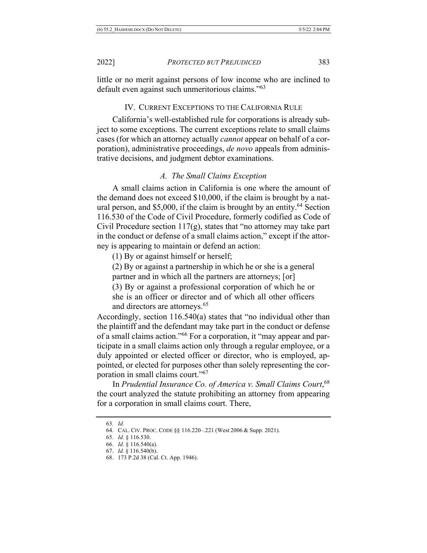little or no merit against persons of low income who are inclined to default even against such unmeritorious claims."63

#### IV. CURRENT EXCEPTIONS TO THE CALIFORNIA RULE

California's well-established rule for corporations is already subject to some exceptions. The current exceptions relate to small claims cases (for which an attorney actually *cannot* appear on behalf of a corporation), administrative proceedings, *de novo* appeals from administrative decisions, and judgment debtor examinations.

#### *A. The Small Claims Exception*

A small claims action in California is one where the amount of the demand does not exceed \$10,000, if the claim is brought by a natural person, and \$5,000, if the claim is brought by an entity.<sup>64</sup> Section 116.530 of the Code of Civil Procedure, formerly codified as Code of Civil Procedure section  $117(g)$ , states that "no attorney may take part" in the conduct or defense of a small claims action," except if the attorney is appearing to maintain or defend an action:

(1) By or against himself or herself;

(2) By or against a partnership in which he or she is a general partner and in which all the partners are attorneys; [or]

(3) By or against a professional corporation of which he or she is an officer or director and of which all other officers and directors are attorneys.<sup>65</sup>

Accordingly, section 116.540(a) states that "no individual other than the plaintiff and the defendant may take part in the conduct or defense of a small claims action."66 For a corporation, it "may appear and participate in a small claims action only through a regular employee, or a duly appointed or elected officer or director, who is employed, appointed, or elected for purposes other than solely representing the corporation in small claims court."67

In *Prudential Insurance Co. of America v. Small Claims Court*, 68 the court analyzed the statute prohibiting an attorney from appearing for a corporation in small claims court. There,

<sup>63</sup>*. Id.*

<sup>64.</sup> CAL. CIV. PROC. CODE §§ 116.220–.221 (West 2006 & Supp. 2021).

<sup>65.</sup> *Id.* § 116.530.

<sup>66.</sup> *Id.* § 116.540(a).

<sup>67.</sup> *Id.* § 116.540(b).

<sup>68.</sup> 173 P.2d 38 (Cal. Ct. App. 1946).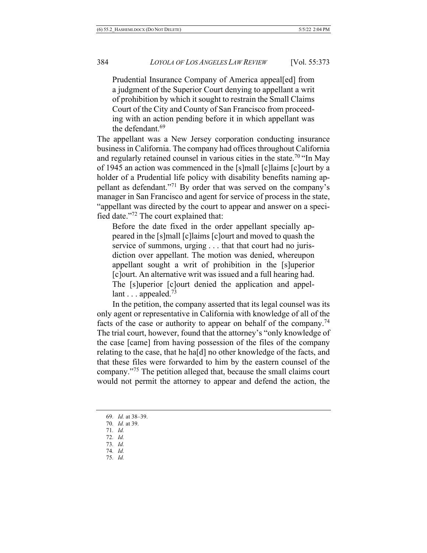Prudential Insurance Company of America appeal[ed] from a judgment of the Superior Court denying to appellant a writ of prohibition by which it sought to restrain the Small Claims Court of the City and County of San Francisco from proceeding with an action pending before it in which appellant was the defendant.<sup>69</sup>

The appellant was a New Jersey corporation conducting insurance business in California. The company had offices throughout California and regularly retained counsel in various cities in the state.<sup>70</sup> "In May of 1945 an action was commenced in the [s]mall [c]laims [c]ourt by a holder of a Prudential life policy with disability benefits naming appellant as defendant."71 By order that was served on the company's manager in San Francisco and agent for service of process in the state, "appellant was directed by the court to appear and answer on a specified date."72 The court explained that:

Before the date fixed in the order appellant specially appeared in the [s]mall [c]laims [c]ourt and moved to quash the service of summons, urging . . . that that court had no jurisdiction over appellant. The motion was denied, whereupon appellant sought a writ of prohibition in the [s]uperior [c]ourt. An alternative writ was issued and a full hearing had. The [s]uperior [c]ourt denied the application and appellant  $\ldots$  appealed.<sup>73</sup>

In the petition, the company asserted that its legal counsel was its only agent or representative in California with knowledge of all of the facts of the case or authority to appear on behalf of the company.<sup>74</sup> The trial court, however, found that the attorney's "only knowledge of the case [came] from having possession of the files of the company relating to the case, that he ha[d] no other knowledge of the facts, and that these files were forwarded to him by the eastern counsel of the company."75 The petition alleged that, because the small claims court would not permit the attorney to appear and defend the action, the

- 71*. Id.*
- 72*. Id.*
- 73*. Id.*
- 74*. Id.*
- 75*. Id.*

<sup>69</sup>*. Id.* at 38–39.

<sup>70</sup>*. Id.* at 39.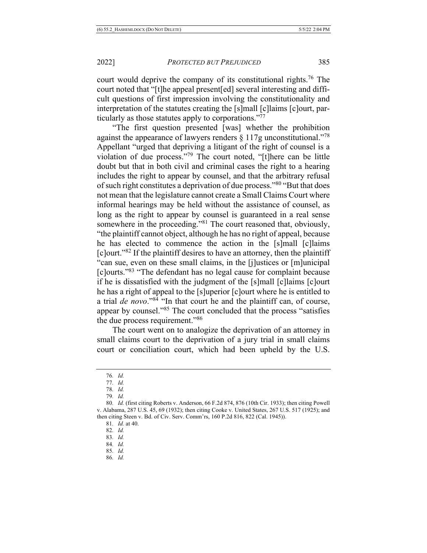court would deprive the company of its constitutional rights.<sup>76</sup> The court noted that "[t]he appeal present[ed] several interesting and difficult questions of first impression involving the constitutionality and interpretation of the statutes creating the [s]mall [c]laims [c]ourt, particularly as those statutes apply to corporations."77

"The first question presented [was] whether the prohibition against the appearance of lawyers renders  $\S 117g$  unconstitutional."<sup>78</sup> Appellant "urged that depriving a litigant of the right of counsel is a violation of due process."79 The court noted, "[t]here can be little doubt but that in both civil and criminal cases the right to a hearing includes the right to appear by counsel, and that the arbitrary refusal of such right constitutes a deprivation of due process."80 "But that does not mean that the legislature cannot create a Small Claims Court where informal hearings may be held without the assistance of counsel, as long as the right to appear by counsel is guaranteed in a real sense somewhere in the proceeding."<sup>81</sup> The court reasoned that, obviously, "the plaintiff cannot object, although he has no right of appeal, because he has elected to commence the action in the [s]mall [c]laims  $\lceil$ c $\lceil$ ourt."<sup>82</sup> If the plaintiff desires to have an attorney, then the plaintiff "can sue, even on these small claims, in the [j]ustices or [m]unicipal [c]ourts."83 "The defendant has no legal cause for complaint because if he is dissatisfied with the judgment of the [s]mall [c]laims [c]ourt he has a right of appeal to the [s]uperior [c]ourt where he is entitled to a trial *de novo*."84 "In that court he and the plaintiff can, of course, appear by counsel."85 The court concluded that the process "satisfies the due process requirement."86

The court went on to analogize the deprivation of an attorney in small claims court to the deprivation of a jury trial in small claims court or conciliation court, which had been upheld by the U.S.

- 83*. Id.*
- 84*. Id.*
- 85*. Id.*
- 86*. Id.*

<sup>76</sup>*. Id.*

<sup>77</sup>*. Id.*

<sup>78</sup>*. Id.* 79*. Id.*

<sup>80</sup>*. Id.* (first citing Roberts v. Anderson, 66 F.2d 874, 876 (10th Cir. 1933); then citing Powell v. Alabama, 287 U.S. 45, 69 (1932); then citing Cooke v. United States, 267 U.S. 517 (1925); and then citing Steen v. Bd. of Civ. Serv. Comm'rs, 160 P.2d 816, 822 (Cal. 1945)).

<sup>81</sup>*. Id.* at 40.

<sup>82</sup>*. Id.*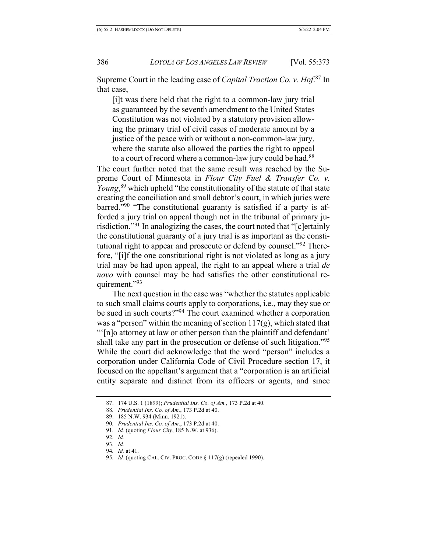Supreme Court in the leading case of *Capital Traction Co. v. Hof*. <sup>87</sup> In that case,

[i]t was there held that the right to a common-law jury trial as guaranteed by the seventh amendment to the United States Constitution was not violated by a statutory provision allowing the primary trial of civil cases of moderate amount by a justice of the peace with or without a non-common-law jury, where the statute also allowed the parties the right to appeal to a court of record where a common-law jury could be had.<sup>88</sup>

The court further noted that the same result was reached by the Supreme Court of Minnesota in *Flour City Fuel & Transfer Co. v. Young*, <sup>89</sup> which upheld "the constitutionality of the statute of that state creating the conciliation and small debtor's court, in which juries were barred."90 "The constitutional guaranty is satisfied if a party is afforded a jury trial on appeal though not in the tribunal of primary jurisdiction."91 In analogizing the cases, the court noted that "[c]ertainly the constitutional guaranty of a jury trial is as important as the constitutional right to appear and prosecute or defend by counsel."92 Therefore, "[i]f the one constitutional right is not violated as long as a jury trial may be had upon appeal, the right to an appeal where a trial *de novo* with counsel may be had satisfies the other constitutional requirement."93

The next question in the case was "whether the statutes applicable to such small claims courts apply to corporations, i.e., may they sue or be sued in such courts?"94 The court examined whether a corporation was a "person" within the meaning of section  $117(g)$ , which stated that "'[n]o attorney at law or other person than the plaintiff and defendant' shall take any part in the prosecution or defense of such litigation."95 While the court did acknowledge that the word "person" includes a corporation under California Code of Civil Procedure section 17, it focused on the appellant's argument that a "corporation is an artificial entity separate and distinct from its officers or agents, and since

93*. Id.*

<sup>87.</sup> 174 U.S. 1 (1899); *Prudential Ins. Co. of Am.*, 173 P.2d at 40.

<sup>88</sup>*. Prudential Ins. Co. of Am.*, 173 P.2d at 40.

<sup>89.</sup> 185 N.W. 934 (Minn. 1921).

<sup>90</sup>*. Prudential Ins. Co. of Am.*, 173 P.2d at 40.

<sup>91</sup>*. Id.* (quoting *Flour City*, 185 N.W. at 936).

<sup>92</sup>*. Id.*

<sup>94</sup>*. Id.* at 41.

<sup>95</sup>*. Id.* (quoting CAL. CIV. PROC. CODE § 117(g) (repealed 1990).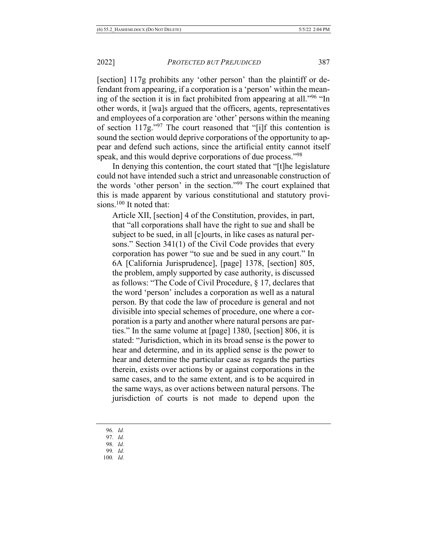[section] 117g prohibits any 'other person' than the plaintiff or defendant from appearing, if a corporation is a 'person' within the meaning of the section it is in fact prohibited from appearing at all."96 "In other words, it [wa]s argued that the officers, agents, representatives and employees of a corporation are 'other' persons within the meaning of section  $117g$ .<sup>"97</sup> The court reasoned that "[i]f this contention is sound the section would deprive corporations of the opportunity to appear and defend such actions, since the artificial entity cannot itself speak, and this would deprive corporations of due process."<sup>98</sup>

In denying this contention, the court stated that "[t]he legislature could not have intended such a strict and unreasonable construction of the words 'other person' in the section."99 The court explained that this is made apparent by various constitutional and statutory provisions.<sup>100</sup> It noted that:

Article XII, [section] 4 of the Constitution, provides, in part, that "all corporations shall have the right to sue and shall be subject to be sued, in all [c]ourts, in like cases as natural persons." Section 341(1) of the Civil Code provides that every corporation has power "to sue and be sued in any court." In 6A [California Jurisprudence], [page] 1378, [section] 805, the problem, amply supported by case authority, is discussed as follows: "The Code of Civil Procedure, § 17, declares that the word 'person' includes a corporation as well as a natural person. By that code the law of procedure is general and not divisible into special schemes of procedure, one where a corporation is a party and another where natural persons are parties." In the same volume at [page] 1380, [section] 806, it is stated: "Jurisdiction, which in its broad sense is the power to hear and determine, and in its applied sense is the power to hear and determine the particular case as regards the parties therein, exists over actions by or against corporations in the same cases, and to the same extent, and is to be acquired in the same ways, as over actions between natural persons. The jurisdiction of courts is not made to depend upon the

- 98*. Id.*
- 99*. Id.*
- 100*. Id.*

<sup>96</sup>*. Id.*

<sup>97</sup>*. Id.*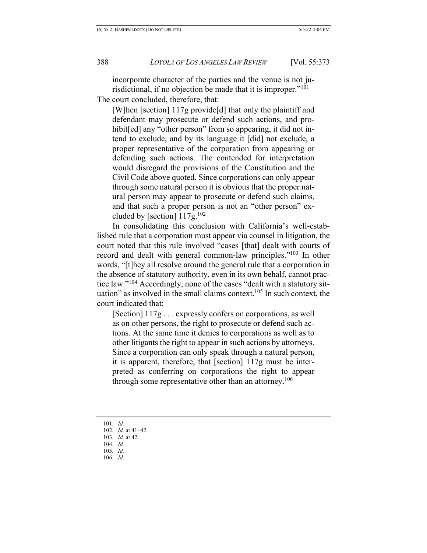incorporate character of the parties and the venue is not jurisdictional, if no objection be made that it is improper."101 The court concluded, therefore, that:

[W]hen [section] 117g provide[d] that only the plaintiff and defendant may prosecute or defend such actions, and prohibit[ed] any "other person" from so appearing, it did not intend to exclude, and by its language it [did] not exclude, a proper representative of the corporation from appearing or defending such actions. The contended for interpretation would disregard the provisions of the Constitution and the Civil Code above quoted. Since corporations can only appear through some natural person it is obvious that the proper natural person may appear to prosecute or defend such claims, and that such a proper person is not an "other person" excluded by [section]  $117g^{102}$ 

In consolidating this conclusion with California's well-established rule that a corporation must appear via counsel in litigation, the court noted that this rule involved "cases [that] dealt with courts of record and dealt with general common-law principles."<sup>103</sup> In other words, "[t]hey all resolve around the general rule that a corporation in the absence of statutory authority, even in its own behalf, cannot practice law."104 Accordingly, none of the cases "dealt with a statutory situation" as involved in the small claims context.<sup>105</sup> In such context, the court indicated that:

[Section] 117g . . . expressly confers on corporations, as well as on other persons, the right to prosecute or defend such actions. At the same time it denies to corporations as well as to other litigants the right to appear in such actions by attorneys. Since a corporation can only speak through a natural person, it is apparent, therefore, that [section] 117g must be interpreted as conferring on corporations the right to appear through some representative other than an attorney.<sup>106</sup>

- 105*. Id.*
- 106*. Id.*

<sup>101</sup>*. Id.*

<sup>102</sup>*. Id.* at 41–42.

<sup>103</sup>*. Id.* at 42.

<sup>104</sup>*. Id.*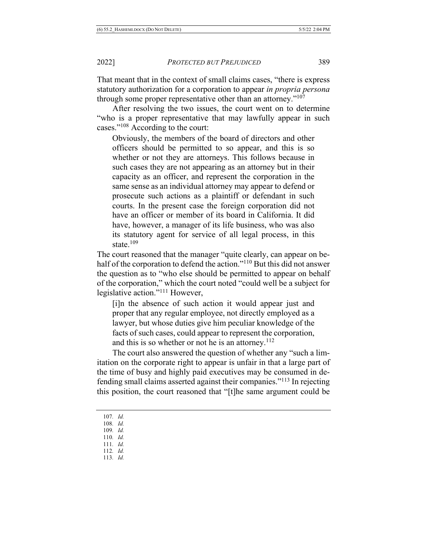That meant that in the context of small claims cases, "there is express statutory authorization for a corporation to appear *in propria persona* through some proper representative other than an attorney."107

After resolving the two issues, the court went on to determine "who is a proper representative that may lawfully appear in such cases."108 According to the court:

Obviously, the members of the board of directors and other officers should be permitted to so appear, and this is so whether or not they are attorneys. This follows because in such cases they are not appearing as an attorney but in their capacity as an officer, and represent the corporation in the same sense as an individual attorney may appear to defend or prosecute such actions as a plaintiff or defendant in such courts. In the present case the foreign corporation did not have an officer or member of its board in California. It did have, however, a manager of its life business, who was also its statutory agent for service of all legal process, in this state.<sup>109</sup>

The court reasoned that the manager "quite clearly, can appear on behalf of the corporation to defend the action."<sup>110</sup> But this did not answer the question as to "who else should be permitted to appear on behalf of the corporation," which the court noted "could well be a subject for legislative action."111 However,

[i]n the absence of such action it would appear just and proper that any regular employee, not directly employed as a lawyer, but whose duties give him peculiar knowledge of the facts of such cases, could appear to represent the corporation, and this is so whether or not he is an attorney. $112$ 

The court also answered the question of whether any "such a limitation on the corporate right to appear is unfair in that a large part of the time of busy and highly paid executives may be consumed in defending small claims asserted against their companies."113 In rejecting this position, the court reasoned that "[t]he same argument could be

- 107*. Id.*
- 108*. Id.*
- 109*. Id.*
- 110*. Id.*
- 111*. Id.*
- 112*. Id.*
- 113*. Id.*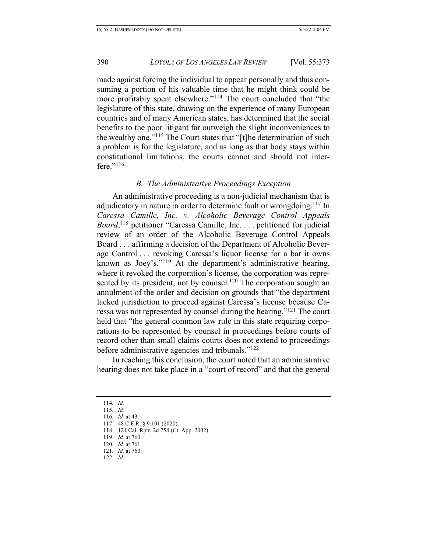made against forcing the individual to appear personally and thus consuming a portion of his valuable time that he might think could be more profitably spent elsewhere."114 The court concluded that "the legislature of this state, drawing on the experience of many European countries and of many American states, has determined that the social benefits to the poor litigant far outweigh the slight inconveniences to the wealthy one."115 The Court states that "[t]he determination of such a problem is for the legislature, and as long as that body stays within constitutional limitations, the courts cannot and should not interfere."<sup>116</sup>

#### *B. The Administrative Proceedings Exception*

An administrative proceeding is a non-judicial mechanism that is adjudicatory in nature in order to determine fault or wrongdoing.<sup>117</sup> In *Caressa Camille, Inc. v. Alcoholic Beverage Control Appeals Board*, <sup>118</sup> petitioner "Caressa Camille, Inc. . . . petitioned for judicial review of an order of the Alcoholic Beverage Control Appeals Board . . . affirming a decision of the Department of Alcoholic Beverage Control . . . revoking Caressa's liquor license for a bar it owns known as Joey's."<sup>119</sup> At the department's administrative hearing, where it revoked the corporation's license, the corporation was represented by its president, not by counsel.<sup>120</sup> The corporation sought an annulment of the order and decision on grounds that "the department lacked jurisdiction to proceed against Caressa's license because Caressa was not represented by counsel during the hearing."121 The court held that "the general common law rule in this state requiring corporations to be represented by counsel in proceedings before courts of record other than small claims courts does not extend to proceedings before administrative agencies and tribunals."122

In reaching this conclusion, the court noted that an administrative hearing does not take place in a "court of record" and that the general

- 118. 121 Cal. Rptr. 2d 758 (Ct. App. 2002).
- 119*. Id.* at 760.
- 120*. Id.* at 761.
- 121*. Id.* at 760.
- 122*. Id.*

<sup>114</sup>*. Id.*

<sup>115</sup>*. Id.* 116*. Id.* at 43.

<sup>117.</sup> 48 C.F.R. § 9.101 (2020).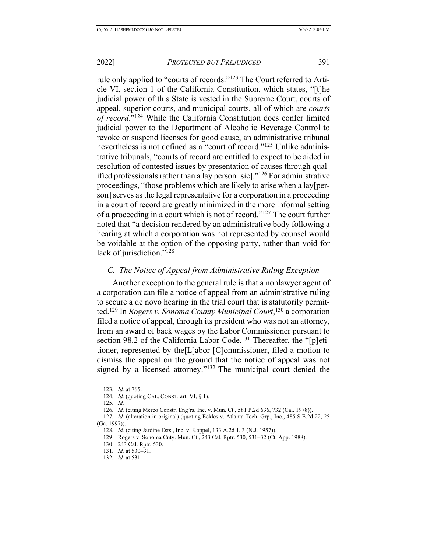rule only applied to "courts of records."123 The Court referred to Article VI, section 1 of the California Constitution, which states, "[t]he judicial power of this State is vested in the Supreme Court, courts of appeal, superior courts, and municipal courts, all of which are *courts of record*."124 While the California Constitution does confer limited judicial power to the Department of Alcoholic Beverage Control to revoke or suspend licenses for good cause, an administrative tribunal nevertheless is not defined as a "court of record."125 Unlike administrative tribunals, "courts of record are entitled to expect to be aided in resolution of contested issues by presentation of causes through qualified professionals rather than a lay person [sic]."126 For administrative proceedings, "those problems which are likely to arise when a lay[person] serves as the legal representative for a corporation in a proceeding in a court of record are greatly minimized in the more informal setting of a proceeding in a court which is not of record."127 The court further noted that "a decision rendered by an administrative body following a hearing at which a corporation was not represented by counsel would be voidable at the option of the opposing party, rather than void for lack of jurisdiction."<sup>128</sup>

#### *C. The Notice of Appeal from Administrative Ruling Exception*

Another exception to the general rule is that a nonlawyer agent of a corporation can file a notice of appeal from an administrative ruling to secure a de novo hearing in the trial court that is statutorily permitted.129 In *Rogers v. Sonoma County Municipal Court*, <sup>130</sup> a corporation filed a notice of appeal, through its president who was not an attorney, from an award of back wages by the Labor Commissioner pursuant to section 98.2 of the California Labor Code.<sup>131</sup> Thereafter, the "[p]etitioner, represented by the[L]abor [C]ommissioner, filed a motion to dismiss the appeal on the ground that the notice of appeal was not signed by a licensed attorney."132 The municipal court denied the

<sup>123</sup>*. Id.* at 765.

<sup>124</sup>*. Id.* (quoting CAL. CONST. art. VI, § 1).

<sup>125</sup>*. Id.*

<sup>126</sup>*. Id.* (citing Merco Constr. Eng'rs, Inc. v. Mun. Ct., 581 P.2d 636, 732 (Cal. 1978)).

<sup>127</sup>*. Id.* (alteration in original) (quoting Eckles v. Atlanta Tech. Grp., Inc., 485 S.E.2d 22, 25 (Ga. 1997)).

<sup>128</sup>*. Id.* (citing Jardine Ests., Inc. v. Koppel, 133 A.2d 1, 3 (N.J. 1957)).

<sup>129.</sup> Rogers v. Sonoma Cnty. Mun. Ct., 243 Cal. Rptr. 530, 531–32 (Ct. App. 1988).

<sup>130.</sup> 243 Cal. Rptr. 530.

<sup>131</sup>*. Id.* at 530–31.

<sup>132</sup>*. Id.* at 531.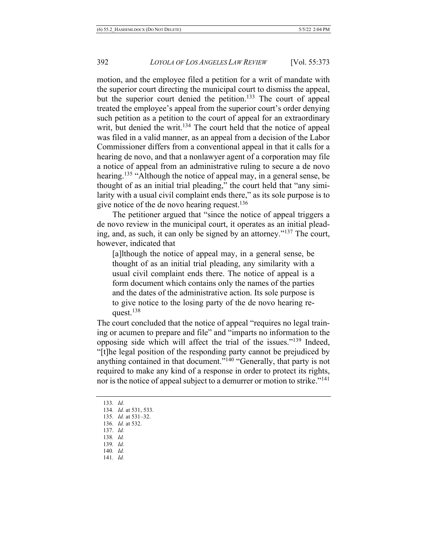motion, and the employee filed a petition for a writ of mandate with the superior court directing the municipal court to dismiss the appeal, but the superior court denied the petition.<sup>133</sup> The court of appeal treated the employee's appeal from the superior court's order denying such petition as a petition to the court of appeal for an extraordinary writ, but denied the writ.<sup>134</sup> The court held that the notice of appeal was filed in a valid manner, as an appeal from a decision of the Labor Commissioner differs from a conventional appeal in that it calls for a hearing de novo, and that a nonlawyer agent of a corporation may file a notice of appeal from an administrative ruling to secure a de novo hearing.<sup>135</sup> "Although the notice of appeal may, in a general sense, be thought of as an initial trial pleading," the court held that "any similarity with a usual civil complaint ends there," as its sole purpose is to give notice of the de novo hearing request.<sup>136</sup>

The petitioner argued that "since the notice of appeal triggers a de novo review in the municipal court, it operates as an initial pleading, and, as such, it can only be signed by an attorney."137 The court, however, indicated that

[a]lthough the notice of appeal may, in a general sense, be thought of as an initial trial pleading, any similarity with a usual civil complaint ends there. The notice of appeal is a form document which contains only the names of the parties and the dates of the administrative action. Its sole purpose is to give notice to the losing party of the de novo hearing request.138

The court concluded that the notice of appeal "requires no legal training or acumen to prepare and file" and "imparts no information to the opposing side which will affect the trial of the issues."139 Indeed, "[t]he legal position of the responding party cannot be prejudiced by anything contained in that document."140 "Generally, that party is not required to make any kind of a response in order to protect its rights, nor is the notice of appeal subject to a demurrer or motion to strike."<sup>141</sup>

133*. Id.* 134*. Id.* at 531, 533. 135*. Id.* at 531–32. 136*. Id.* at 532. 137. *Id.* 138*. Id.* 139*. Id.* 140*. Id.* 141*. Id.*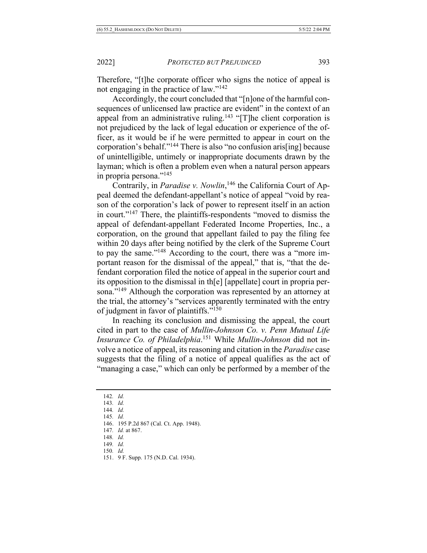Therefore, "[t]he corporate officer who signs the notice of appeal is not engaging in the practice of law."142

Accordingly, the court concluded that "[n]one of the harmful consequences of unlicensed law practice are evident" in the context of an appeal from an administrative ruling.<sup>143</sup> "[T]he client corporation is not prejudiced by the lack of legal education or experience of the officer, as it would be if he were permitted to appear in court on the corporation's behalf."144 There is also "no confusion aris[ing] because of unintelligible, untimely or inappropriate documents drawn by the layman; which is often a problem even when a natural person appears in propria persona."145

Contrarily, in *Paradise v. Nowlin*, <sup>146</sup> the California Court of Appeal deemed the defendant-appellant's notice of appeal "void by reason of the corporation's lack of power to represent itself in an action in court."147 There, the plaintiffs-respondents "moved to dismiss the appeal of defendant-appellant Federated Income Properties, Inc., a corporation, on the ground that appellant failed to pay the filing fee within 20 days after being notified by the clerk of the Supreme Court to pay the same."148 According to the court, there was a "more important reason for the dismissal of the appeal," that is, "that the defendant corporation filed the notice of appeal in the superior court and its opposition to the dismissal in th[e] [appellate] court in propria persona."<sup>149</sup> Although the corporation was represented by an attorney at the trial, the attorney's "services apparently terminated with the entry of judgment in favor of plaintiffs."150

In reaching its conclusion and dismissing the appeal, the court cited in part to the case of *Mullin-Johnson Co. v. Penn Mutual Life Insurance Co. of Philadelphia*. <sup>151</sup> While *Mullin-Johnson* did not involve a notice of appeal, its reasoning and citation in the *Paradise* case suggests that the filing of a notice of appeal qualifies as the act of "managing a case," which can only be performed by a member of the

142*. Id.*

- 143*. Id.*
- 144*. Id.*
- 145*. Id.*
- 146. 195 P.2d 867 (Cal. Ct. App. 1948).
- 147*. Id.* at 867.
- 148*. Id.*
- 149*. Id.* 150*. Id.*
- 151. 9 F. Supp. 175 (N.D. Cal. 1934).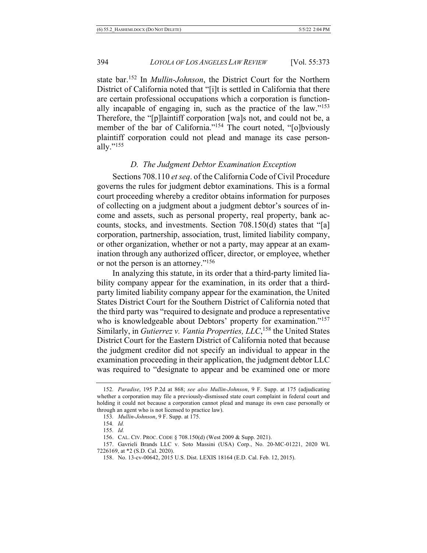state bar.152 In *Mullin-Johnson*, the District Court for the Northern District of California noted that "[i]t is settled in California that there are certain professional occupations which a corporation is functionally incapable of engaging in, such as the practice of the law."153 Therefore, the "[p]laintiff corporation [wa]s not, and could not be, a member of the bar of California."<sup>154</sup> The court noted, "[o]bviously plaintiff corporation could not plead and manage its case personally."<sup>155</sup>

#### *D. The Judgment Debtor Examination Exception*

Sections 708.110 *et seq*. of the California Code of Civil Procedure governs the rules for judgment debtor examinations. This is a formal court proceeding whereby a creditor obtains information for purposes of collecting on a judgment about a judgment debtor's sources of income and assets, such as personal property, real property, bank accounts, stocks, and investments. Section 708.150(d) states that "[a] corporation, partnership, association, trust, limited liability company, or other organization, whether or not a party, may appear at an examination through any authorized officer, director, or employee, whether or not the person is an attorney."156

In analyzing this statute, in its order that a third-party limited liability company appear for the examination, in its order that a thirdparty limited liability company appear for the examination, the United States District Court for the Southern District of California noted that the third party was "required to designate and produce a representative who is knowledgeable about Debtors' property for examination."<sup>157</sup> Similarly, in *Gutierrez v. Vantia Properties, LLC*,<sup>158</sup> the United States District Court for the Eastern District of California noted that because the judgment creditor did not specify an individual to appear in the examination proceeding in their application, the judgment debtor LLC was required to "designate to appear and be examined one or more

<sup>152</sup>*. Paradise*, 195 P.2d at 868; *see also Mullin-Johnson*, 9 F. Supp. at 175 (adjudicating whether a corporation may file a previously-dismissed state court complaint in federal court and holding it could not because a corporation cannot plead and manage its own case personally or through an agent who is not licensed to practice law).

<sup>153</sup>*. Mullin-Johnson*, 9 F. Supp. at 175.

<sup>154</sup>*. Id.*

<sup>155</sup>*. Id.*

<sup>156.</sup> CAL. CIV. PROC. CODE § 708.150(d) (West 2009 & Supp. 2021).

<sup>157.</sup> Gavrieli Brands LLC v. Soto Massini (USA) Corp., No. 20-MC-01221, 2020 WL 7226169, at \*2 (S.D. Cal. 2020).

<sup>158.</sup> No. 13-cv-00642, 2015 U.S. Dist. LEXIS 18164 (E.D. Cal. Feb. 12, 2015).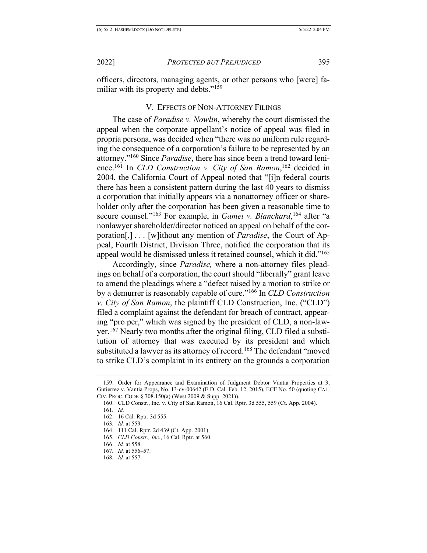officers, directors, managing agents, or other persons who [were] familiar with its property and debts."<sup>159</sup>

#### V. EFFECTS OF NON-ATTORNEY FILINGS

The case of *Paradise v. Nowlin*, whereby the court dismissed the appeal when the corporate appellant's notice of appeal was filed in propria persona, was decided when "there was no uniform rule regarding the consequence of a corporation's failure to be represented by an attorney."160 Since *Paradise*, there has since been a trend toward lenience.161 In *CLD Construction v. City of San Ramon*, <sup>162</sup> decided in 2004, the California Court of Appeal noted that "[i]n federal courts there has been a consistent pattern during the last 40 years to dismiss a corporation that initially appears via a nonattorney officer or shareholder only after the corporation has been given a reasonable time to secure counsel."163 For example, in *Gamet v. Blanchard*, <sup>164</sup> after "a nonlawyer shareholder/director noticed an appeal on behalf of the corporation[,] . . . [w]ithout any mention of *Paradise*, the Court of Appeal, Fourth District, Division Three, notified the corporation that its appeal would be dismissed unless it retained counsel, which it did."165

Accordingly, since *Paradise,* where a non-attorney files pleadings on behalf of a corporation, the court should "liberally" grant leave to amend the pleadings where a "defect raised by a motion to strike or by a demurrer is reasonably capable of cure."166 In *CLD Construction v. City of San Ramon*, the plaintiff CLD Construction, Inc. ("CLD") filed a complaint against the defendant for breach of contract, appearing "pro per," which was signed by the president of CLD, a non-lawyer.167 Nearly two months after the original filing, CLD filed a substitution of attorney that was executed by its president and which substituted a lawyer as its attorney of record.<sup>168</sup> The defendant "moved to strike CLD's complaint in its entirety on the grounds a corporation

- 166. *Id.* at 558.
- 167*. Id.* at 556–57.
- 168*. Id.* at 557.

<sup>159.</sup> Order for Appearance and Examination of Judgment Debtor Vantia Properties at 3, Gutierrez v. Vantia Props, No. 13-cv-00642 (E.D. Cal. Feb. 12, 2015), ECF No. 50 (quoting CAL. CIV. PROC. CODE § 708.150(a) (West 2009 & Supp. 2021)).

<sup>160.</sup> CLD Constr., Inc. v. City of San Ramon, 16 Cal. Rptr. 3d 555, 559 (Ct. App. 2004).

<sup>161</sup>*. Id.*

<sup>162.</sup> 16 Cal. Rptr. 3d 555.

<sup>163</sup>*. Id.* at 559.

<sup>164.</sup> 111 Cal. Rptr. 2d 439 (Ct. App. 2001).

<sup>165</sup>*. CLD Constr., Inc.*, 16 Cal. Rptr. at 560.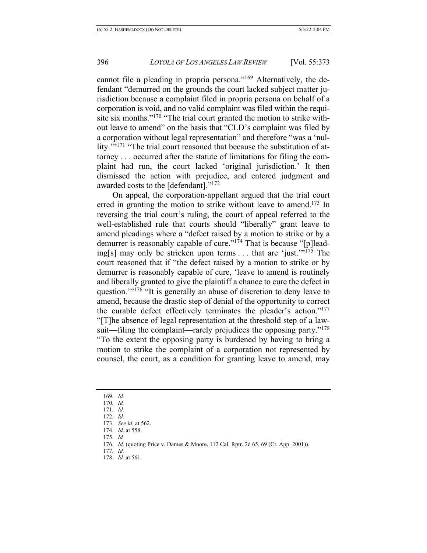cannot file a pleading in propria persona."169 Alternatively, the defendant "demurred on the grounds the court lacked subject matter jurisdiction because a complaint filed in propria persona on behalf of a corporation is void, and no valid complaint was filed within the requisite six months."<sup>170</sup> "The trial court granted the motion to strike without leave to amend" on the basis that "CLD's complaint was filed by a corporation without legal representation" and therefore "was a 'nullity."<sup>171</sup> "The trial court reasoned that because the substitution of attorney . . . occurred after the statute of limitations for filing the complaint had run, the court lacked 'original jurisdiction.' It then dismissed the action with prejudice, and entered judgment and awarded costs to the [defendant]."172

On appeal, the corporation-appellant argued that the trial court erred in granting the motion to strike without leave to amend.<sup>173</sup> In reversing the trial court's ruling, the court of appeal referred to the well-established rule that courts should "liberally" grant leave to amend pleadings where a "defect raised by a motion to strike or by a demurrer is reasonably capable of cure." $1^{74}$  That is because "[p]leading[s] may only be stricken upon terms . . . that are 'just.'"175 The court reasoned that if "the defect raised by a motion to strike or by demurrer is reasonably capable of cure, 'leave to amend is routinely and liberally granted to give the plaintiff a chance to cure the defect in question."<sup>176</sup> "It is generally an abuse of discretion to deny leave to amend, because the drastic step of denial of the opportunity to correct the curable defect effectively terminates the pleader's action."177 "[T]he absence of legal representation at the threshold step of a lawsuit—filing the complaint—rarely prejudices the opposing party."<sup>178</sup> "To the extent the opposing party is burdened by having to bring a motion to strike the complaint of a corporation not represented by counsel, the court, as a condition for granting leave to amend, may

- 170*. Id.*
- 171*. Id.*
- 172*. Id.*

- 174. *Id.* at 558.
- 175. *Id.*

- 177*. Id.*
- 178*. Id.* at 561.

<sup>169</sup>*. Id.*

<sup>173</sup>*. See id.* at 562.

<sup>176</sup>*. Id.* (quoting Price v. Dames & Moore, 112 Cal. Rptr. 2d 65, 69 (Ct. App. 2001)).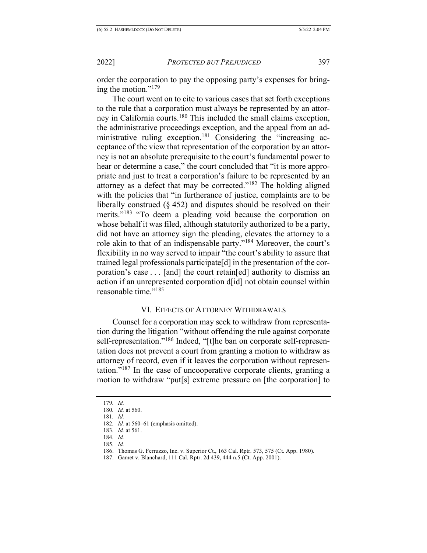order the corporation to pay the opposing party's expenses for bringing the motion."179

The court went on to cite to various cases that set forth exceptions to the rule that a corporation must always be represented by an attorney in California courts.180 This included the small claims exception, the administrative proceedings exception, and the appeal from an administrative ruling exception.181 Considering the "increasing acceptance of the view that representation of the corporation by an attorney is not an absolute prerequisite to the court's fundamental power to hear or determine a case," the court concluded that "it is more appropriate and just to treat a corporation's failure to be represented by an attorney as a defect that may be corrected."182 The holding aligned with the policies that "in furtherance of justice, complaints are to be liberally construed  $(\S 452)$  and disputes should be resolved on their merits."<sup>183</sup> "To deem a pleading void because the corporation on whose behalf it was filed, although statutorily authorized to be a party, did not have an attorney sign the pleading, elevates the attorney to a role akin to that of an indispensable party."184 Moreover, the court's flexibility in no way served to impair "the court's ability to assure that trained legal professionals participate[d] in the presentation of the corporation's case . . . [and] the court retain[ed] authority to dismiss an action if an unrepresented corporation d[id] not obtain counsel within reasonable time."185

#### VI. EFFECTS OF ATTORNEY WITHDRAWALS

Counsel for a corporation may seek to withdraw from representation during the litigation "without offending the rule against corporate self-representation."<sup>186</sup> Indeed, "[t]he ban on corporate self-representation does not prevent a court from granting a motion to withdraw as attorney of record, even if it leaves the corporation without representation."<sup>187</sup> In the case of uncooperative corporate clients, granting a motion to withdraw "put[s] extreme pressure on [the corporation] to

181*. Id.*

- 184*. Id.*
- 185*. Id.*

<sup>179</sup>*. Id.*

<sup>180</sup>*. Id.* at 560.

<sup>182</sup>*. Id.* at 560–61 (emphasis omitted).

<sup>183</sup>*. Id.* at 561.

<sup>186.</sup> Thomas G. Ferruzzo, Inc. v. Superior Ct., 163 Cal. Rptr. 573, 575 (Ct. App. 1980).

<sup>187.</sup> Gamet v. Blanchard, 111 Cal. Rptr. 2d 439, 444 n.5 (Ct. App. 2001).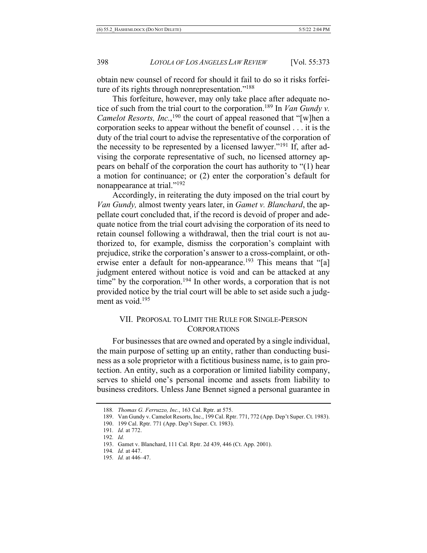obtain new counsel of record for should it fail to do so it risks forfeiture of its rights through nonrepresentation."188

This forfeiture, however, may only take place after adequate notice of such from the trial court to the corporation.189 In *Van Gundy v. Camelot Resorts, Inc.*,<sup>190</sup> the court of appeal reasoned that "[w]hen a corporation seeks to appear without the benefit of counsel . . . it is the duty of the trial court to advise the representative of the corporation of the necessity to be represented by a licensed lawyer."191 If, after advising the corporate representative of such, no licensed attorney appears on behalf of the corporation the court has authority to "(1) hear a motion for continuance; or (2) enter the corporation's default for nonappearance at trial."192

Accordingly, in reiterating the duty imposed on the trial court by *Van Gundy,* almost twenty years later, in *Gamet v. Blanchard*, the appellate court concluded that, if the record is devoid of proper and adequate notice from the trial court advising the corporation of its need to retain counsel following a withdrawal, then the trial court is not authorized to, for example, dismiss the corporation's complaint with prejudice, strike the corporation's answer to a cross-complaint, or otherwise enter a default for non-appearance.<sup>193</sup> This means that "[a] judgment entered without notice is void and can be attacked at any time" by the corporation.<sup>194</sup> In other words, a corporation that is not provided notice by the trial court will be able to set aside such a judgment as void.<sup>195</sup>

#### VII. PROPOSAL TO LIMIT THE RULE FOR SINGLE-PERSON CORPORATIONS

For businesses that are owned and operated by a single individual, the main purpose of setting up an entity, rather than conducting business as a sole proprietor with a fictitious business name, is to gain protection. An entity, such as a corporation or limited liability company, serves to shield one's personal income and assets from liability to business creditors. Unless Jane Bennet signed a personal guarantee in

<sup>188</sup>*. Thomas G. Ferruzzo, Inc.*, 163 Cal. Rptr. at 575.

<sup>189.</sup> Van Gundy v. Camelot Resorts, Inc., 199 Cal. Rptr. 771, 772 (App. Dep't Super. Ct. 1983).

<sup>190.</sup> 199 Cal. Rptr. 771 (App. Dep't Super. Ct. 1983).

<sup>191</sup>*. Id.* at 772.

<sup>192</sup>*. Id.*

<sup>193.</sup> Gamet v. Blanchard, 111 Cal. Rptr. 2d 439, 446 (Ct. App. 2001).

<sup>194</sup>*. Id.* at 447.

<sup>195</sup>*. Id.* at 446–47.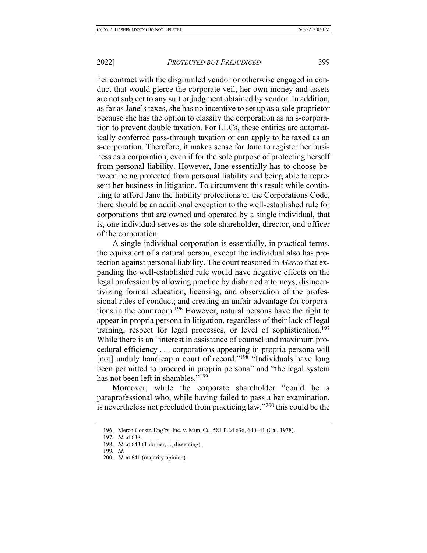her contract with the disgruntled vendor or otherwise engaged in conduct that would pierce the corporate veil, her own money and assets are not subject to any suit or judgment obtained by vendor. In addition, as far as Jane's taxes, she has no incentive to set up as a sole proprietor because she has the option to classify the corporation as an s-corporation to prevent double taxation. For LLCs, these entities are automatically conferred pass-through taxation or can apply to be taxed as an s-corporation. Therefore, it makes sense for Jane to register her business as a corporation, even if for the sole purpose of protecting herself from personal liability. However, Jane essentially has to choose between being protected from personal liability and being able to represent her business in litigation. To circumvent this result while continuing to afford Jane the liability protections of the Corporations Code, there should be an additional exception to the well-established rule for corporations that are owned and operated by a single individual, that is, one individual serves as the sole shareholder, director, and officer of the corporation.

A single-individual corporation is essentially, in practical terms, the equivalent of a natural person, except the individual also has protection against personal liability. The court reasoned in *Merco* that expanding the well-established rule would have negative effects on the legal profession by allowing practice by disbarred attorneys; disincentivizing formal education, licensing, and observation of the professional rules of conduct; and creating an unfair advantage for corporations in the courtroom.196 However, natural persons have the right to appear in propria persona in litigation, regardless of their lack of legal training, respect for legal processes, or level of sophistication.<sup>197</sup> While there is an "interest in assistance of counsel and maximum procedural efficiency . . . corporations appearing in propria persona will [not] unduly handicap a court of record."<sup>198</sup> "Individuals have long been permitted to proceed in propria persona" and "the legal system has not been left in shambles."<sup>199</sup>

Moreover, while the corporate shareholder "could be a paraprofessional who, while having failed to pass a bar examination, is nevertheless not precluded from practicing law,"200 this could be the

<sup>196.</sup> Merco Constr. Eng'rs, Inc. v. Mun. Ct., 581 P.2d 636, 640–41 (Cal. 1978).

<sup>197</sup>*. Id.* at 638.

<sup>198</sup>*. Id.* at 643 (Tobriner, J., dissenting).

<sup>199</sup>*. Id.*

<sup>200</sup>*. Id.* at 641 (majority opinion).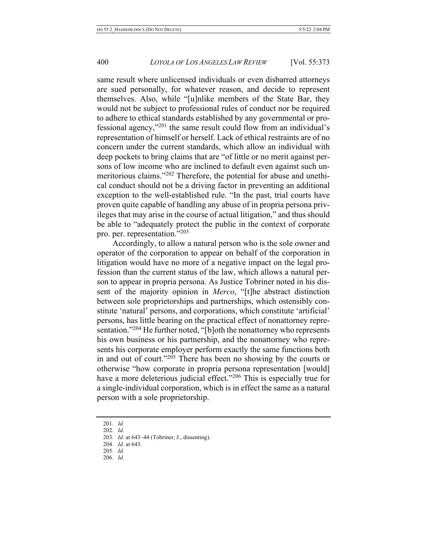same result where unlicensed individuals or even disbarred attorneys are sued personally, for whatever reason, and decide to represent themselves. Also, while "[u]nlike members of the State Bar, they would not be subject to professional rules of conduct nor be required to adhere to ethical standards established by any governmental or professional agency,"201 the same result could flow from an individual's representation of himself or herself. Lack of ethical restraints are of no concern under the current standards, which allow an individual with deep pockets to bring claims that are "of little or no merit against persons of low income who are inclined to default even against such unmeritorious claims."202 Therefore, the potential for abuse and unethical conduct should not be a driving factor in preventing an additional exception to the well-established rule. "In the past, trial courts have proven quite capable of handling any abuse of in propria persona privileges that may arise in the course of actual litigation," and thus should be able to "adequately protect the public in the context of corporate pro. per. representation."203

Accordingly, to allow a natural person who is the sole owner and operator of the corporation to appear on behalf of the corporation in litigation would have no more of a negative impact on the legal profession than the current status of the law, which allows a natural person to appear in propria persona. As Justice Tobriner noted in his dissent of the majority opinion in *Merco*, "[t]he abstract distinction between sole proprietorships and partnerships, which ostensibly constitute 'natural' persons, and corporations, which constitute 'artificial' persons, has little bearing on the practical effect of nonattorney representation."<sup>204</sup> He further noted, "[b]oth the nonattorney who represents his own business or his partnership, and the nonattorney who represents his corporate employer perform exactly the same functions both in and out of court."205 There has been no showing by the courts or otherwise "how corporate in propria persona representation [would] have a more deleterious judicial effect."<sup>206</sup> This is especially true for a single-individual corporation, which is in effect the same as a natural person with a sole proprietorship.

- 205*. Id.*
- 206*. Id.*

<sup>201</sup>*. Id.*

<sup>202</sup>*. Id.*

<sup>203</sup>*. Id.* at 643–44 (Tobriner, J., dissenting).

<sup>204</sup>*. Id.* at 643.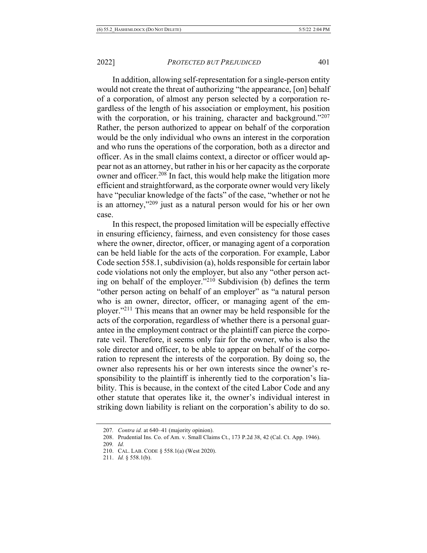In addition, allowing self-representation for a single-person entity would not create the threat of authorizing "the appearance, [on] behalf of a corporation, of almost any person selected by a corporation regardless of the length of his association or employment, his position with the corporation, or his training, character and background."207 Rather, the person authorized to appear on behalf of the corporation would be the only individual who owns an interest in the corporation and who runs the operations of the corporation, both as a director and officer. As in the small claims context, a director or officer would appear not as an attorney, but rather in his or her capacity as the corporate owner and officer.<sup>208</sup> In fact, this would help make the litigation more efficient and straightforward, as the corporate owner would very likely have "peculiar knowledge of the facts" of the case, "whether or not he is an attorney,"209 just as a natural person would for his or her own case.

In this respect, the proposed limitation will be especially effective in ensuring efficiency, fairness, and even consistency for those cases where the owner, director, officer, or managing agent of a corporation can be held liable for the acts of the corporation. For example, Labor Code section 558.1, subdivision (a), holds responsible for certain labor code violations not only the employer, but also any "other person acting on behalf of the employer. $10^2$ <sup>10</sup> Subdivision (b) defines the term "other person acting on behalf of an employer" as "a natural person who is an owner, director, officer, or managing agent of the employer."211 This means that an owner may be held responsible for the acts of the corporation, regardless of whether there is a personal guarantee in the employment contract or the plaintiff can pierce the corporate veil. Therefore, it seems only fair for the owner, who is also the sole director and officer, to be able to appear on behalf of the corporation to represent the interests of the corporation. By doing so, the owner also represents his or her own interests since the owner's responsibility to the plaintiff is inherently tied to the corporation's liability. This is because, in the context of the cited Labor Code and any other statute that operates like it, the owner's individual interest in striking down liability is reliant on the corporation's ability to do so.

<sup>207</sup>*. Contra id.* at 640–41 (majority opinion).

<sup>208.</sup> Prudential Ins. Co. of Am. v. Small Claims Ct., 173 P.2d 38, 42 (Cal. Ct. App. 1946).

<sup>209</sup>*. Id.*

<sup>210.</sup> CAL. LAB. CODE § 558.1(a) (West 2020).

<sup>211.</sup> *Id.* § 558.1(b).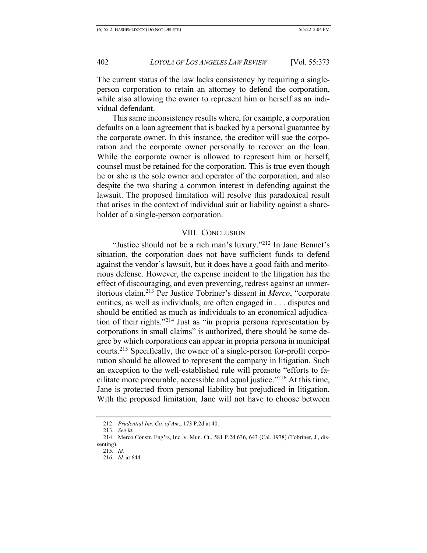The current status of the law lacks consistency by requiring a singleperson corporation to retain an attorney to defend the corporation, while also allowing the owner to represent him or herself as an individual defendant.

This same inconsistency results where, for example, a corporation defaults on a loan agreement that is backed by a personal guarantee by the corporate owner. In this instance, the creditor will sue the corporation and the corporate owner personally to recover on the loan. While the corporate owner is allowed to represent him or herself, counsel must be retained for the corporation. This is true even though he or she is the sole owner and operator of the corporation, and also despite the two sharing a common interest in defending against the lawsuit. The proposed limitation will resolve this paradoxical result that arises in the context of individual suit or liability against a shareholder of a single-person corporation.

#### VIII. CONCLUSION

"Justice should not be a rich man's luxury."212 In Jane Bennet's situation, the corporation does not have sufficient funds to defend against the vendor's lawsuit, but it does have a good faith and meritorious defense. However, the expense incident to the litigation has the effect of discouraging, and even preventing, redress against an unmeritorious claim.213 Per Justice Tobriner's dissent in *Merco*, "corporate entities, as well as individuals, are often engaged in . . . disputes and should be entitled as much as individuals to an economical adjudication of their rights."214 Just as "in propria persona representation by corporations in small claims" is authorized, there should be some degree by which corporations can appear in propria persona in municipal courts.215 Specifically, the owner of a single-person for-profit corporation should be allowed to represent the company in litigation. Such an exception to the well-established rule will promote "efforts to facilitate more procurable, accessible and equal justice. $1216$  At this time, Jane is protected from personal liability but prejudiced in litigation. With the proposed limitation, Jane will not have to choose between

<sup>212.</sup> *Prudential Ins. Co. of Am.*, 173 P.2d at 40.

<sup>213</sup>*. See id.*

<sup>214.</sup> Merco Constr. Eng'rs, Inc. v. Mun. Ct., 581 P.2d 636, 643 (Cal. 1978) (Tobriner, J., dissenting).

<sup>215</sup>*. Id.*

<sup>216</sup>*. Id.* at 644.